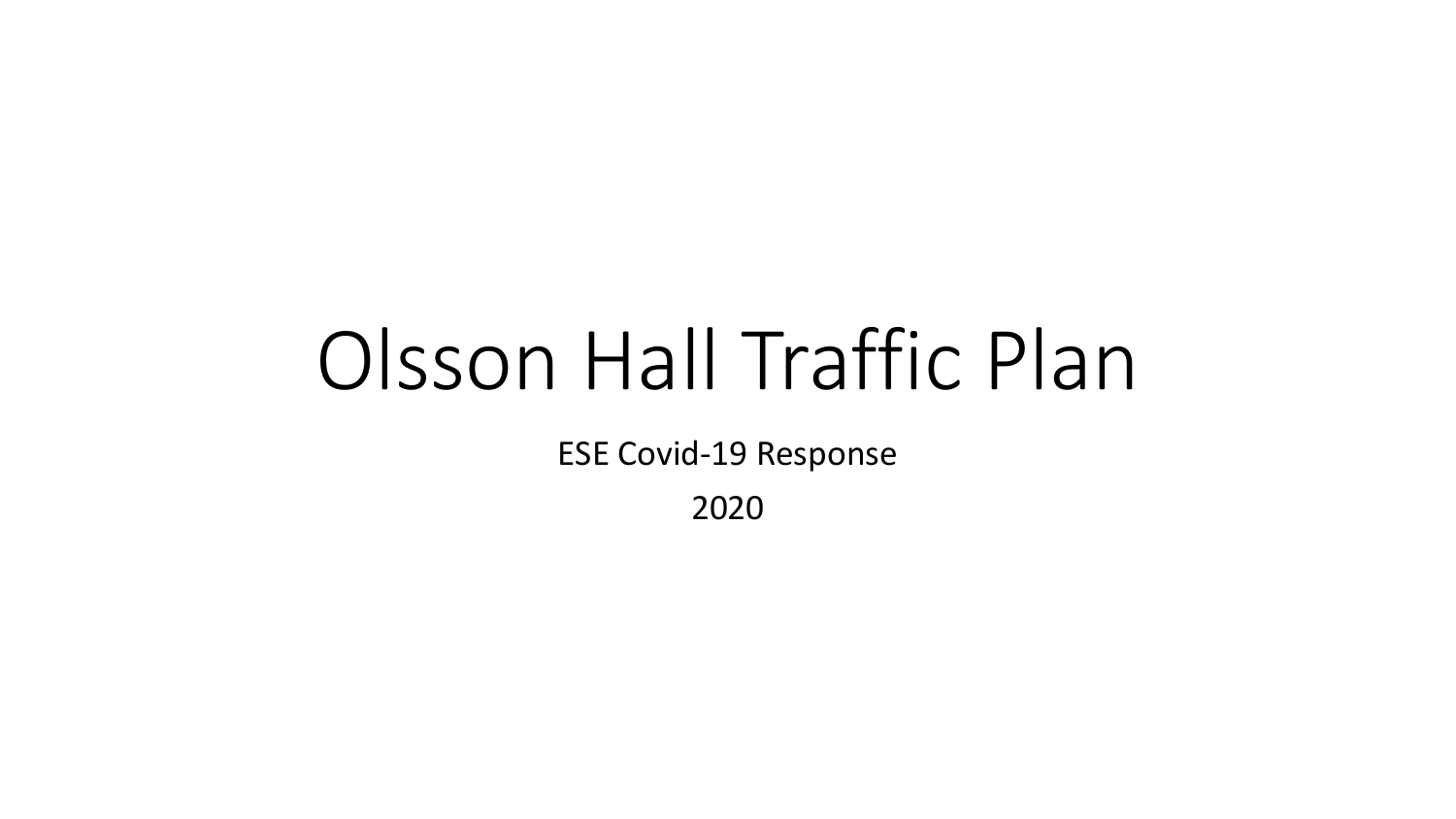## Olsson Hall Traffic Plan

**ESE Covid-19 Response** 

2020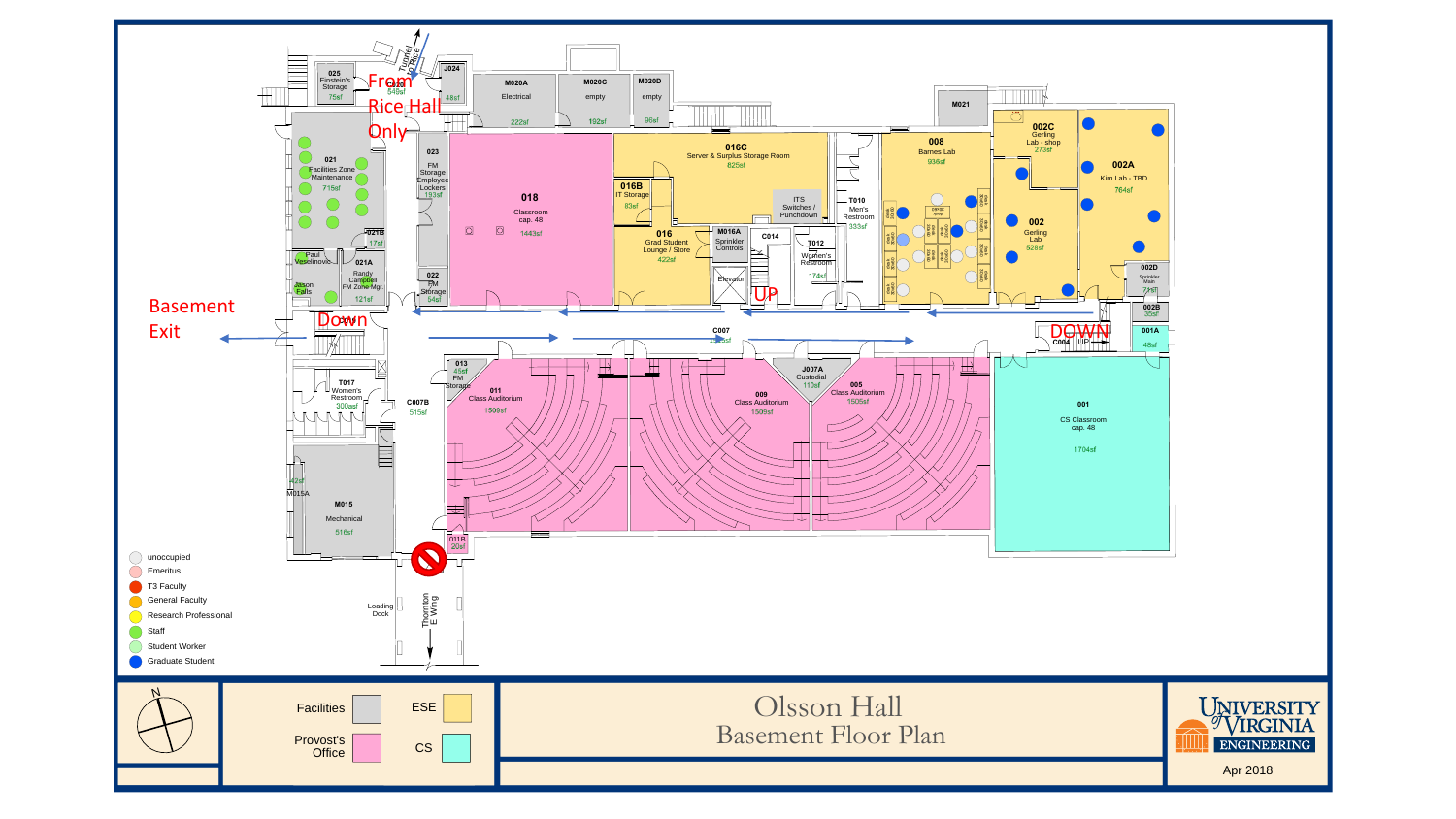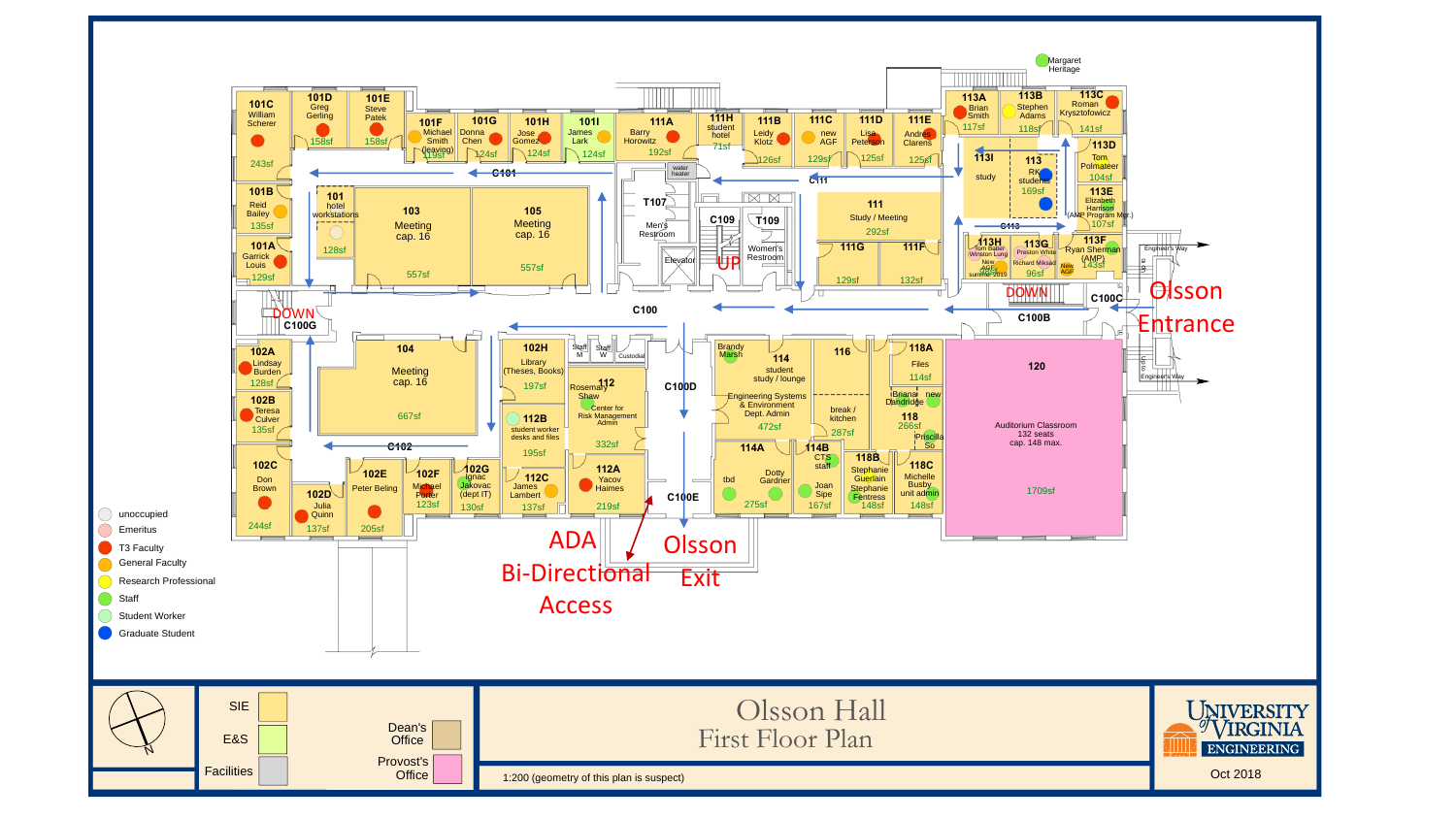